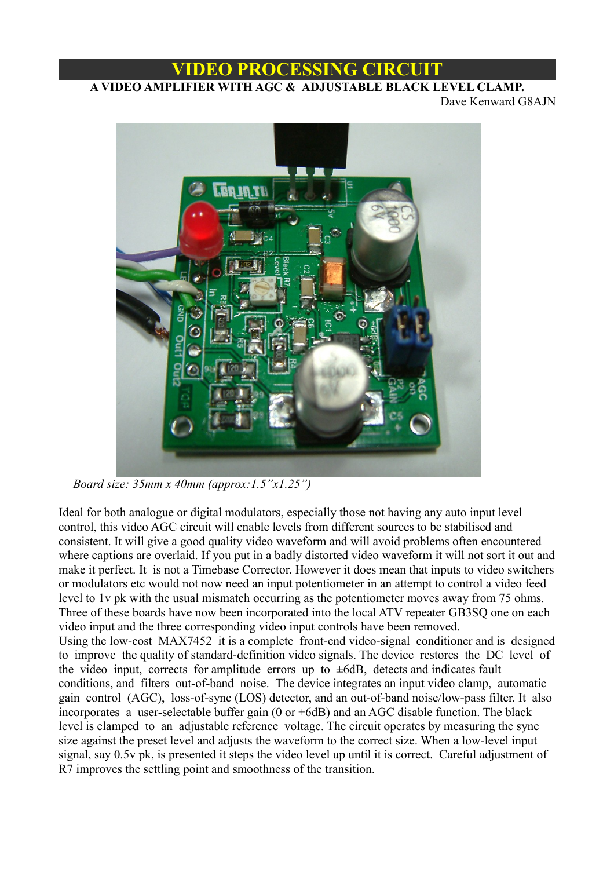# **VIDEO PROCESSING CIRCUIT**

# **A VIDEO AMPLIFIER WITH AGC & ADJUSTABLE BLACK LEVEL CLAMP.**

Dave Kenward G8AJN



 *Board size: 35mm x 40mm (approx:1.5"x1.25")*

Ideal for both analogue or digital modulators, especially those not having any auto input level control, this video AGC circuit will enable levels from different sources to be stabilised and consistent. It will give a good quality video waveform and will avoid problems often encountered where captions are overlaid. If you put in a badly distorted video waveform it will not sort it out and make it perfect. It is not a Timebase Corrector. However it does mean that inputs to video switchers or modulators etc would not now need an input potentiometer in an attempt to control a video feed level to 1v pk with the usual mismatch occurring as the potentiometer moves away from 75 ohms. Three of these boards have now been incorporated into the local ATV repeater GB3SQ one on each video input and the three corresponding video input controls have been removed. Using the low-cost MAX7452 it is a complete front-end video-signal conditioner and is designed to improve the quality of standard-definition video signals. The device restores the DC level of the video input, corrects for amplitude errors up to  $\pm 6$ dB, detects and indicates fault conditions, and filters out-of-band noise. The device integrates an input video clamp, automatic gain control (AGC), loss-of-sync (LOS) detector, and an out-of-band noise/low-pass filter. It also incorporates a user-selectable buffer gain (0 or +6dB) and an AGC disable function. The black level is clamped to an adjustable reference voltage. The circuit operates by measuring the sync size against the preset level and adjusts the waveform to the correct size. When a low-level input signal, say 0.5v pk, is presented it steps the video level up until it is correct. Careful adjustment of R7 improves the settling point and smoothness of the transition.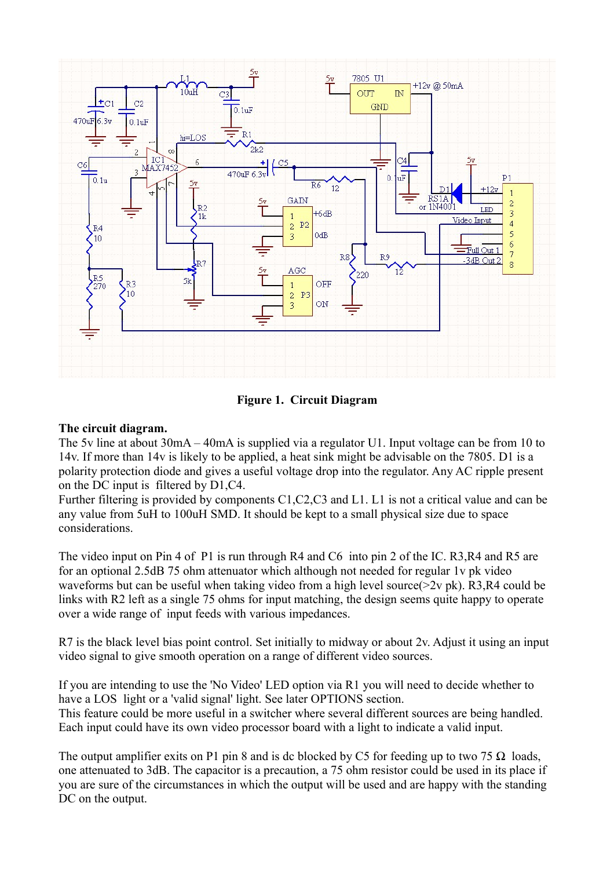

**Figure 1. Circuit Diagram**

# **The circuit diagram.**

The 5v line at about 30mA – 40mA is supplied via a regulator U1. Input voltage can be from 10 to 14v. If more than 14v is likely to be applied, a heat sink might be advisable on the 7805. D1 is a polarity protection diode and gives a useful voltage drop into the regulator. Any AC ripple present on the DC input is filtered by D1,C4.

Further filtering is provided by components C1,C2,C3 and L1. L1 is not a critical value and can be any value from 5uH to 100uH SMD. It should be kept to a small physical size due to space considerations.

The video input on Pin 4 of P1 is run through R4 and C6 into pin 2 of the IC. R3,R4 and R5 are for an optional 2.5dB 75 ohm attenuator which although not needed for regular 1v pk video waveforms but can be useful when taking video from a high level source(>2v pk). R3,R4 could be links with R2 left as a single 75 ohms for input matching, the design seems quite happy to operate over a wide range of input feeds with various impedances.

R7 is the black level bias point control. Set initially to midway or about 2v. Adjust it using an input video signal to give smooth operation on a range of different video sources.

If you are intending to use the 'No Video' LED option via R1 you will need to decide whether to have a LOS light or a 'valid signal' light. See later OPTIONS section. This feature could be more useful in a switcher where several different sources are being handled. Each input could have its own video processor board with a light to indicate a valid input.

The output amplifier exits on P1 pin 8 and is dc blocked by C5 for feeding up to two 75  $\Omega$  loads, one attenuated to 3dB. The capacitor is a precaution, a 75 ohm resistor could be used in its place if you are sure of the circumstances in which the output will be used and are happy with the standing DC on the output.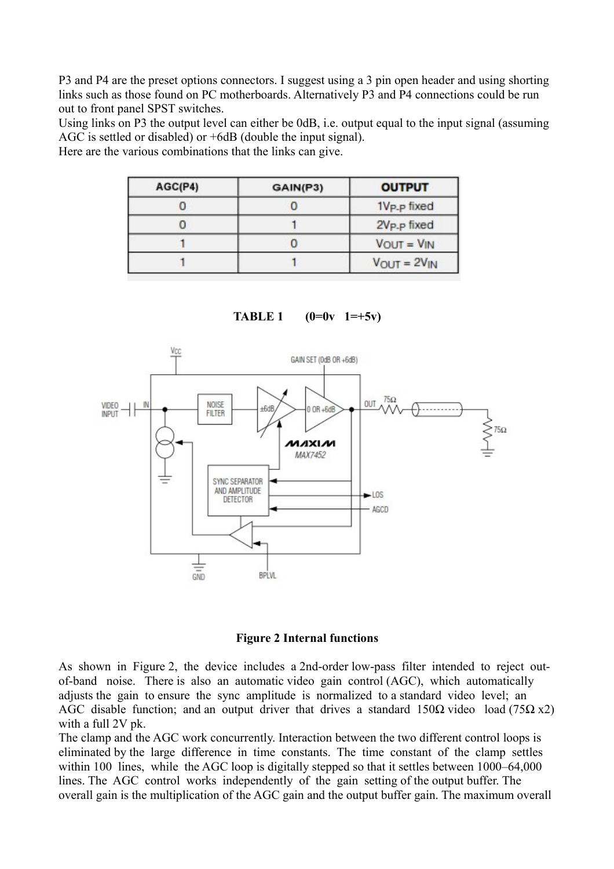P3 and P4 are the preset options connectors. I suggest using a 3 pin open header and using shorting links such as those found on PC motherboards. Alternatively P3 and P4 connections could be run out to front panel SPST switches.

Using links on P3 the output level can either be 0dB, i.e. output equal to the input signal (assuming AGC is settled or disabled) or +6dB (double the input signal).

Here are the various combinations that the links can give.

| AGC(P4) | GAIN(P3) | <b>OUTPUT</b>           |  |
|---------|----------|-------------------------|--|
|         |          | 1V <sub>P-P</sub> fixed |  |
|         |          | 2V <sub>P-P</sub> fixed |  |
|         |          | $VOUT = VIN$            |  |
|         |          | $V_{OUT} = 2V_{IN}$     |  |

**TABLE 1 (0=0v 1=+5v)**





As shown in Figure 2, the device includes a 2nd-order low-pass filter intended to reject outof-band noise. There is also an automatic video gain control (AGC), which automatically adjusts the gain to ensure the sync amplitude is normalized to a standard video level; an AGC disable function; and an output driver that drives a standard  $150\Omega$  video load (75 $\Omega$  x2) with a full 2V pk.

The clamp and the AGC work concurrently. Interaction between the two different control loops is eliminated by the large difference in time constants. The time constant of the clamp settles within 100 lines, while the AGC loop is digitally stepped so that it settles between 1000–64,000 lines. The AGC control works independently of the gain setting of the output buffer. The overall gain is the multiplication of the AGC gain and the output buffer gain. The maximum overall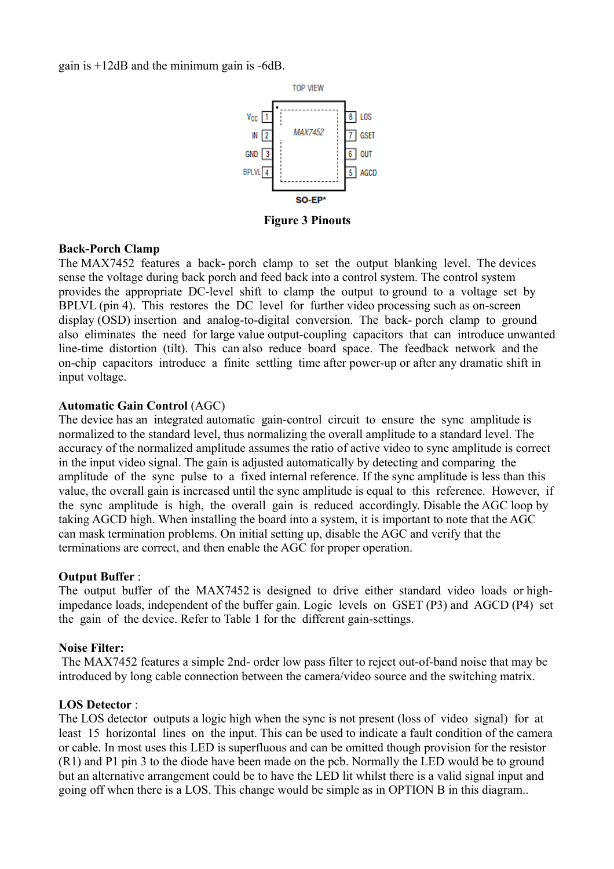gain is +12dB and the minimum gain is -6dB.



**Figure 3 Pinouts**

#### **Back-Porch Clamp**

The MAX7452 features a back- porch clamp to set the output blanking level. The devices sense the voltage during back porch and feed back into a control system. The control system provides the appropriate DC-level shift to clamp the output to ground to a voltage set by BPLVL (pin 4). This restores the DC level for further video processing such as on-screen display (OSD) insertion and analog-to-digital conversion. The back- porch clamp to ground also eliminates the need for large value output-coupling capacitors that can introduce unwanted line-time distortion (tilt). This can also reduce board space. The feedback network and the on-chip capacitors introduce a finite settling time after power-up or after any dramatic shift in input voltage.

### **Automatic Gain Control** (AGC)

The device has an integrated automatic gain-control circuit to ensure the sync amplitude is normalized to the standard level, thus normalizing the overall amplitude to a standard level. The accuracy of the normalized amplitude assumes the ratio of active video to sync amplitude is correct in the input video signal. The gain is adjusted automatically by detecting and comparing the amplitude of the sync pulse to a fixed internal reference. If the sync amplitude is less than this value, the overall gain is increased until the sync amplitude is equal to this reference. However, if the sync amplitude is high, the overall gain is reduced accordingly. Disable the AGC loop by taking AGCD high. When installing the board into a system, it is important to note that the AGC can mask termination problems. On initial setting up, disable the AGC and verify that the terminations are correct, and then enable the AGC for proper operation.

#### **Output Buffer** :

The output buffer of the MAX7452 is designed to drive either standard video loads or highimpedance loads, independent of the buffer gain. Logic levels on GSET (P3) and AGCD (P4) set the gain of the device. Refer to Table 1 for the different gain-settings.

#### **Noise Filter:**

 The MAX7452 features a simple 2nd- order low pass filter to reject out-of-band noise that may be introduced by long cable connection between the camera/video source and the switching matrix.

#### **LOS Detector** :

The LOS detector outputs a logic high when the sync is not present (loss of video signal) for at least 15 horizontal lines on the input. This can be used to indicate a fault condition of the camera or cable. In most uses this LED is superfluous and can be omitted though provision for the resistor (R1) and P1 pin 3 to the diode have been made on the pcb. Normally the LED would be to ground but an alternative arrangement could be to have the LED lit whilst there is a valid signal input and going off when there is a LOS. This change would be simple as in OPTION B in this diagram..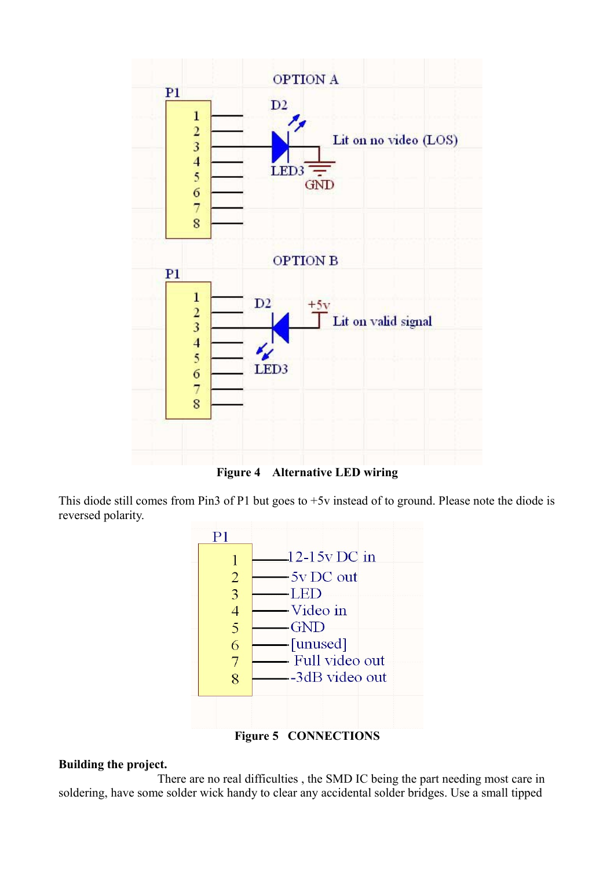

**Figure 4 Alternative LED wiring**

This diode still comes from Pin3 of P1 but goes to +5v instead of to ground. Please note the diode is reversed polarity.



**Figure 5 CONNECTIONS**

## **Building the project.**

There are no real difficulties , the SMD IC being the part needing most care in soldering, have some solder wick handy to clear any accidental solder bridges. Use a small tipped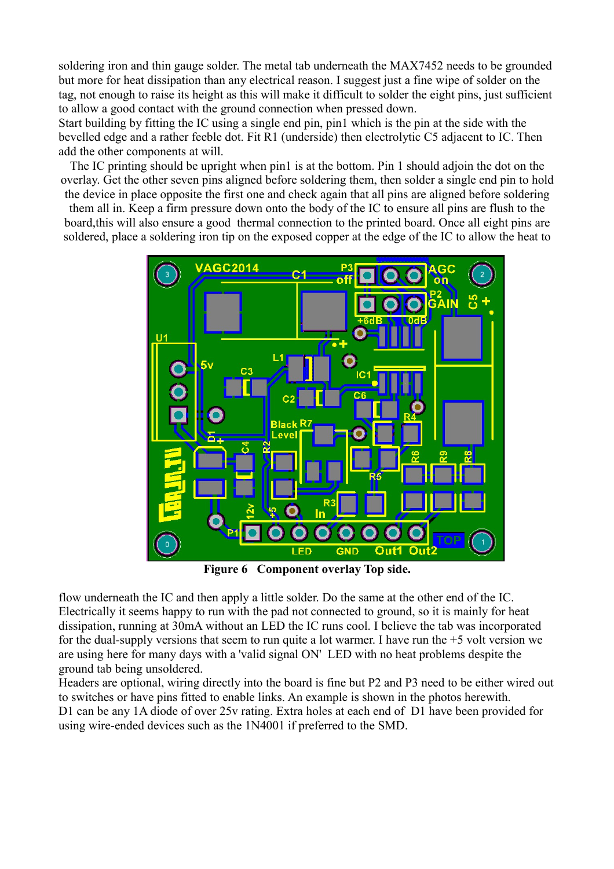soldering iron and thin gauge solder. The metal tab underneath the MAX7452 needs to be grounded but more for heat dissipation than any electrical reason. I suggest just a fine wipe of solder on the tag, not enough to raise its height as this will make it difficult to solder the eight pins, just sufficient to allow a good contact with the ground connection when pressed down.

Start building by fitting the IC using a single end pin, pin1 which is the pin at the side with the bevelled edge and a rather feeble dot. Fit R1 (underside) then electrolytic C5 adjacent to IC. Then add the other components at will.

The IC printing should be upright when pin1 is at the bottom. Pin 1 should adjoin the dot on the overlay. Get the other seven pins aligned before soldering them, then solder a single end pin to hold

the device in place opposite the first one and check again that all pins are aligned before soldering them all in. Keep a firm pressure down onto the body of the IC to ensure all pins are flush to the board,this will also ensure a good thermal connection to the printed board. Once all eight pins are soldered, place a soldering iron tip on the exposed copper at the edge of the IC to allow the heat to



**Figure 6 Component overlay Top side.**

flow underneath the IC and then apply a little solder. Do the same at the other end of the IC. Electrically it seems happy to run with the pad not connected to ground, so it is mainly for heat dissipation, running at 30mA without an LED the IC runs cool. I believe the tab was incorporated for the dual-supply versions that seem to run quite a lot warmer. I have run the +5 volt version we are using here for many days with a 'valid signal ON' LED with no heat problems despite the ground tab being unsoldered.

Headers are optional, wiring directly into the board is fine but P2 and P3 need to be either wired out to switches or have pins fitted to enable links. An example is shown in the photos herewith. D1 can be any 1A diode of over 25v rating. Extra holes at each end of D1 have been provided for using wire-ended devices such as the 1N4001 if preferred to the SMD.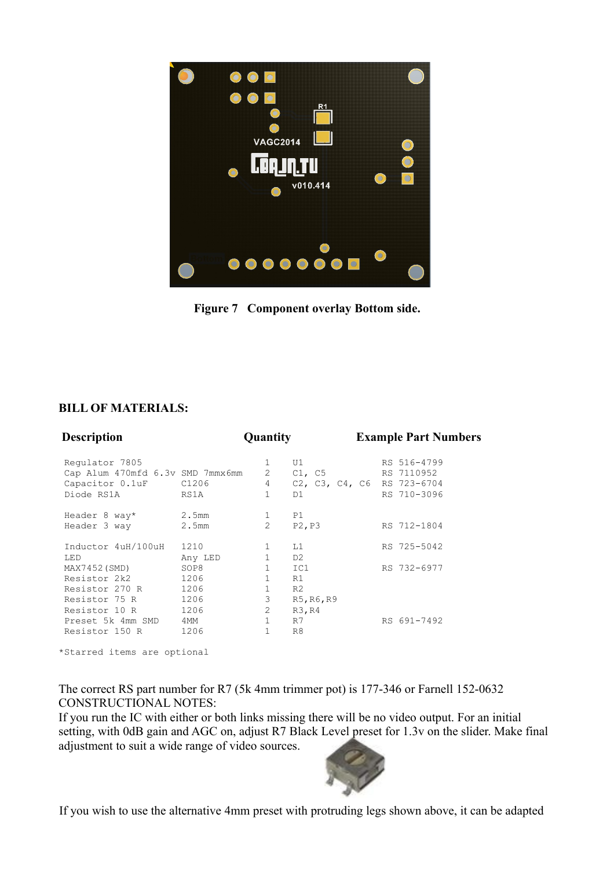

**Figure 7 Component overlay Bottom side.**

### **BILL OF MATERIALS:**

| <b>Description</b>                                                                  | <b>Quantity</b>              |                                                                 |                                           | <b>Example Part Numbers</b> |                                                                        |  |
|-------------------------------------------------------------------------------------|------------------------------|-----------------------------------------------------------------|-------------------------------------------|-----------------------------|------------------------------------------------------------------------|--|
| Regulator 7805<br>Cap Alum 470mfd 6.3v SMD 7mmx6mm<br>Capacitor 0.1uF<br>Diode RS1A | C1206<br>RS1A                | 1<br>$2 \left( \frac{1}{2} \right)$<br>$4\quad$<br>$\mathbf{1}$ | U1<br>C1, C5<br>D1                        |                             | RS 516-4799<br>RS 7110952<br>C2, C3, C4, C6 RS 723-6704<br>RS 710-3096 |  |
| Header 8 way*<br>Header 3 way                                                       | 2.5mm<br>2.5mm               | $\mathbf{1}$<br>$\overline{2}$                                  | P1<br>P2, P3                              |                             | RS 712-1804                                                            |  |
| Inductor 4uH/100uH<br>LED                                                           | 1210<br>Any LED              | 1<br>$\mathbf{1}$                                               | L1<br>D <sub>2</sub>                      |                             | RS 725-5042                                                            |  |
| MAX7452 (SMD)<br>Resistor 2k2<br>Resistor 270 R<br>Resistor 75 R                    | SOP8<br>1206<br>1206<br>1206 | $\mathbf{1}$<br>$\mathbf{1}$<br>$\mathbf{1}$<br>3               | IC1<br>R1<br>R <sub>2</sub><br>R5, R6, R9 |                             | RS 732-6977                                                            |  |
| Resistor 10 R<br>Preset 5k 4mm SMD<br>Resistor 150 R                                | 1206<br>4MM<br>1206          | $\overline{2}$<br>$\mathbf{1}$<br>$\mathbf{1}$                  | R3, R4<br>R7<br>R <sub>8</sub>            |                             | RS 691-7492                                                            |  |

\*Starred items are optional

The correct RS part number for R7 (5k 4mm trimmer pot) is 177-346 or Farnell 152-0632 CONSTRUCTIONAL NOTES:

If you run the IC with either or both links missing there will be no video output. For an initial setting, with 0dB gain and AGC on, adjust R7 Black Level preset for 1.3v on the slider. Make final adjustment to suit a wide range of video sources.



If you wish to use the alternative 4mm preset with protruding legs shown above, it can be adapted